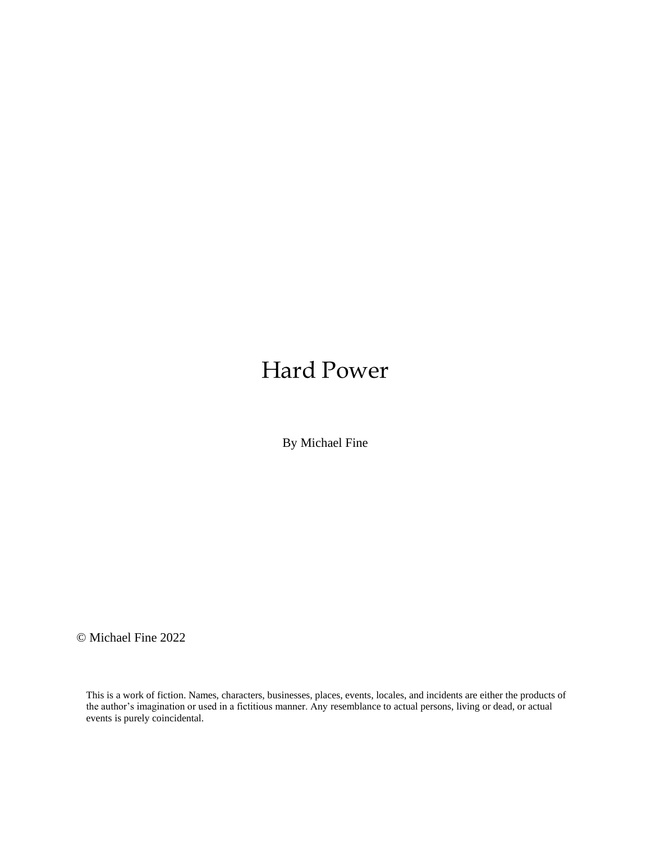## Hard Power

By Michael Fine

© Michael Fine 2022

This is a work of fiction. Names, characters, businesses, places, events, locales, and incidents are either the products of the author's imagination or used in a fictitious manner. Any resemblance to actual persons, living or dead, or actual events is purely coincidental.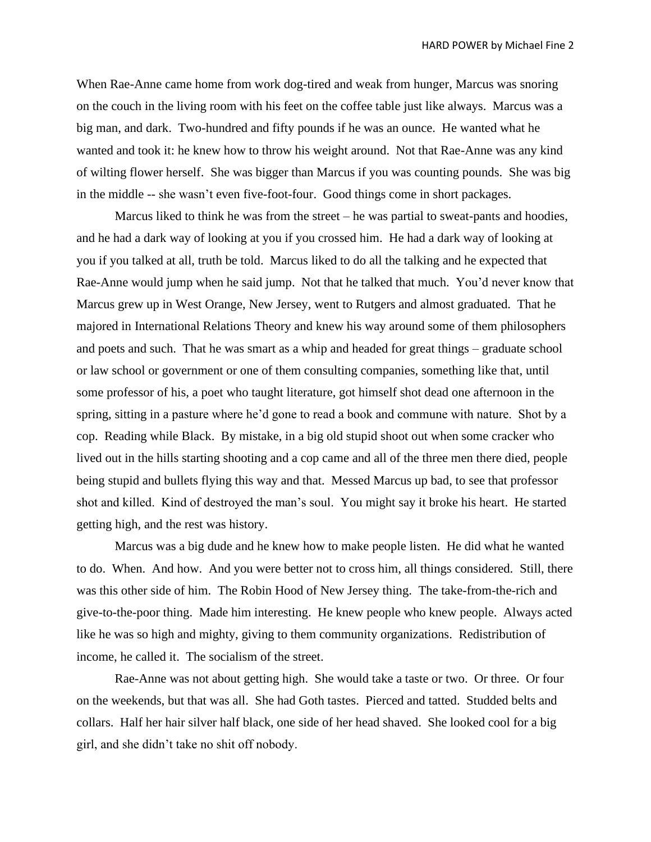When Rae-Anne came home from work dog-tired and weak from hunger, Marcus was snoring on the couch in the living room with his feet on the coffee table just like always. Marcus was a big man, and dark. Two-hundred and fifty pounds if he was an ounce. He wanted what he wanted and took it: he knew how to throw his weight around. Not that Rae-Anne was any kind of wilting flower herself. She was bigger than Marcus if you was counting pounds. She was big in the middle -- she wasn't even five-foot-four. Good things come in short packages.

Marcus liked to think he was from the street – he was partial to sweat-pants and hoodies, and he had a dark way of looking at you if you crossed him. He had a dark way of looking at you if you talked at all, truth be told. Marcus liked to do all the talking and he expected that Rae-Anne would jump when he said jump. Not that he talked that much. You'd never know that Marcus grew up in West Orange, New Jersey, went to Rutgers and almost graduated. That he majored in International Relations Theory and knew his way around some of them philosophers and poets and such. That he was smart as a whip and headed for great things – graduate school or law school or government or one of them consulting companies, something like that, until some professor of his, a poet who taught literature, got himself shot dead one afternoon in the spring, sitting in a pasture where he'd gone to read a book and commune with nature. Shot by a cop. Reading while Black. By mistake, in a big old stupid shoot out when some cracker who lived out in the hills starting shooting and a cop came and all of the three men there died, people being stupid and bullets flying this way and that. Messed Marcus up bad, to see that professor shot and killed. Kind of destroyed the man's soul. You might say it broke his heart. He started getting high, and the rest was history.

Marcus was a big dude and he knew how to make people listen. He did what he wanted to do. When. And how. And you were better not to cross him, all things considered. Still, there was this other side of him. The Robin Hood of New Jersey thing. The take-from-the-rich and give-to-the-poor thing. Made him interesting. He knew people who knew people. Always acted like he was so high and mighty, giving to them community organizations. Redistribution of income, he called it. The socialism of the street.

Rae-Anne was not about getting high. She would take a taste or two. Or three. Or four on the weekends, but that was all. She had Goth tastes. Pierced and tatted. Studded belts and collars. Half her hair silver half black, one side of her head shaved. She looked cool for a big girl, and she didn't take no shit off nobody.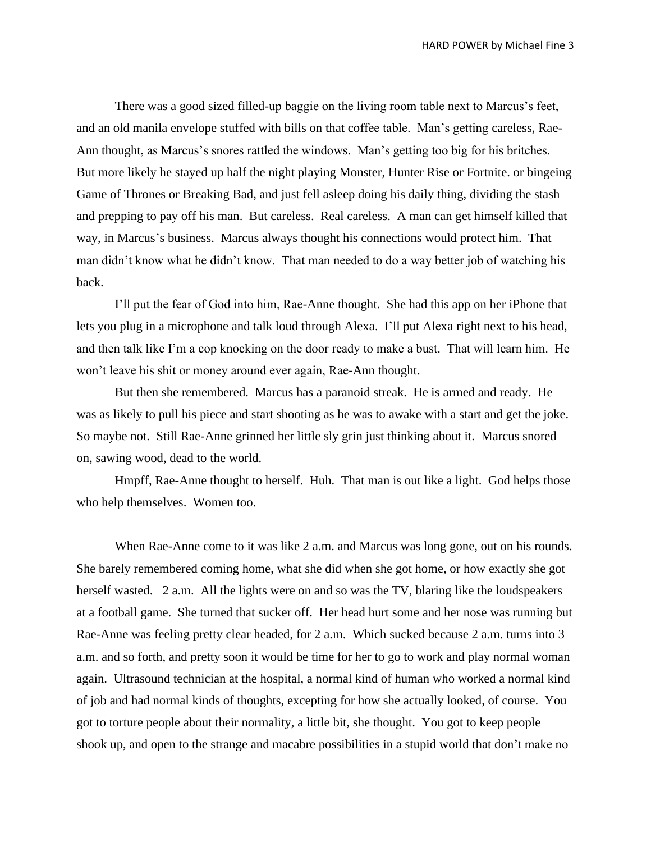There was a good sized filled-up baggie on the living room table next to Marcus's feet, and an old manila envelope stuffed with bills on that coffee table. Man's getting careless, Rae-Ann thought, as Marcus's snores rattled the windows. Man's getting too big for his britches. But more likely he stayed up half the night playing Monster, Hunter Rise or Fortnite. or bingeing Game of Thrones or Breaking Bad, and just fell asleep doing his daily thing, dividing the stash and prepping to pay off his man. But careless. Real careless. A man can get himself killed that way, in Marcus's business. Marcus always thought his connections would protect him. That man didn't know what he didn't know. That man needed to do a way better job of watching his back.

I'll put the fear of God into him, Rae-Anne thought. She had this app on her iPhone that lets you plug in a microphone and talk loud through Alexa. I'll put Alexa right next to his head, and then talk like I'm a cop knocking on the door ready to make a bust. That will learn him. He won't leave his shit or money around ever again, Rae-Ann thought.

But then she remembered. Marcus has a paranoid streak. He is armed and ready. He was as likely to pull his piece and start shooting as he was to awake with a start and get the joke. So maybe not. Still Rae-Anne grinned her little sly grin just thinking about it. Marcus snored on, sawing wood, dead to the world.

Hmpff, Rae-Anne thought to herself. Huh. That man is out like a light. God helps those who help themselves. Women too.

When Rae-Anne come to it was like 2 a.m. and Marcus was long gone, out on his rounds. She barely remembered coming home, what she did when she got home, or how exactly she got herself wasted. 2 a.m. All the lights were on and so was the TV, blaring like the loudspeakers at a football game. She turned that sucker off. Her head hurt some and her nose was running but Rae-Anne was feeling pretty clear headed, for 2 a.m. Which sucked because 2 a.m. turns into 3 a.m. and so forth, and pretty soon it would be time for her to go to work and play normal woman again. Ultrasound technician at the hospital, a normal kind of human who worked a normal kind of job and had normal kinds of thoughts, excepting for how she actually looked, of course. You got to torture people about their normality, a little bit, she thought. You got to keep people shook up, and open to the strange and macabre possibilities in a stupid world that don't make no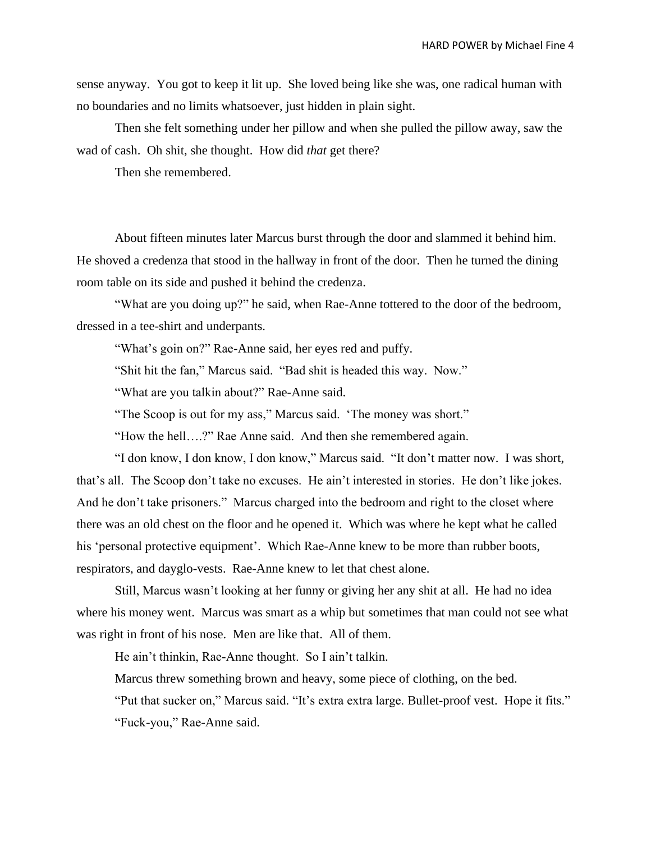sense anyway. You got to keep it lit up. She loved being like she was, one radical human with no boundaries and no limits whatsoever, just hidden in plain sight.

Then she felt something under her pillow and when she pulled the pillow away, saw the wad of cash. Oh shit, she thought. How did *that* get there?

Then she remembered.

About fifteen minutes later Marcus burst through the door and slammed it behind him. He shoved a credenza that stood in the hallway in front of the door. Then he turned the dining room table on its side and pushed it behind the credenza.

"What are you doing up?" he said, when Rae-Anne tottered to the door of the bedroom, dressed in a tee-shirt and underpants.

"What's goin on?" Rae-Anne said, her eyes red and puffy.

"Shit hit the fan," Marcus said. "Bad shit is headed this way. Now."

"What are you talkin about?" Rae-Anne said.

"The Scoop is out for my ass," Marcus said. 'The money was short."

"How the hell….?" Rae Anne said. And then she remembered again.

"I don know, I don know, I don know," Marcus said. "It don't matter now. I was short, that's all. The Scoop don't take no excuses. He ain't interested in stories. He don't like jokes. And he don't take prisoners." Marcus charged into the bedroom and right to the closet where there was an old chest on the floor and he opened it. Which was where he kept what he called his 'personal protective equipment'. Which Rae-Anne knew to be more than rubber boots, respirators, and dayglo-vests. Rae-Anne knew to let that chest alone.

Still, Marcus wasn't looking at her funny or giving her any shit at all. He had no idea where his money went. Marcus was smart as a whip but sometimes that man could not see what was right in front of his nose. Men are like that. All of them.

He ain't thinkin, Rae-Anne thought. So I ain't talkin.

Marcus threw something brown and heavy, some piece of clothing, on the bed.

"Put that sucker on," Marcus said. "It's extra extra large. Bullet-proof vest. Hope it fits." "Fuck-you," Rae-Anne said.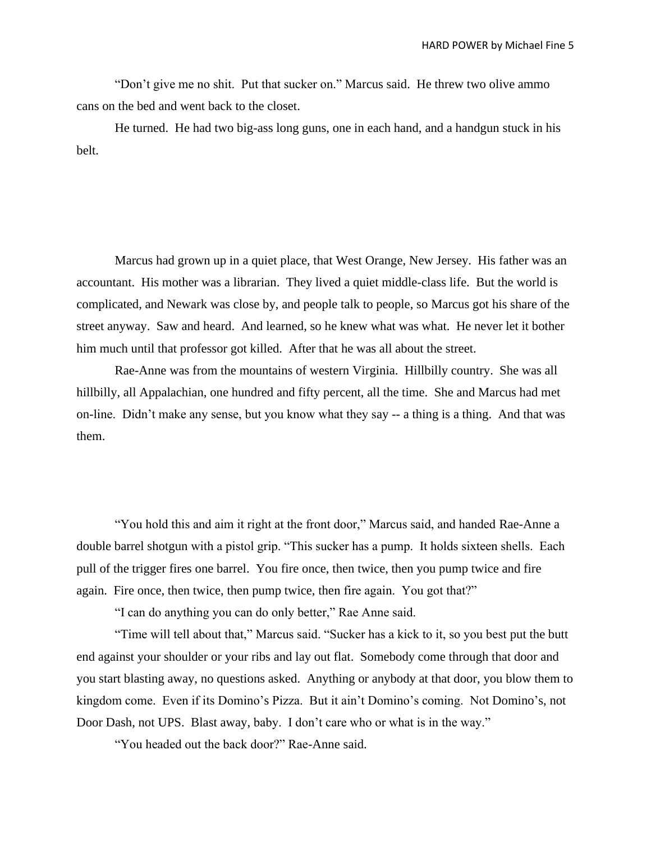"Don't give me no shit. Put that sucker on." Marcus said. He threw two olive ammo cans on the bed and went back to the closet.

He turned. He had two big-ass long guns, one in each hand, and a handgun stuck in his belt.

Marcus had grown up in a quiet place, that West Orange, New Jersey. His father was an accountant. His mother was a librarian. They lived a quiet middle-class life. But the world is complicated, and Newark was close by, and people talk to people, so Marcus got his share of the street anyway. Saw and heard. And learned, so he knew what was what. He never let it bother him much until that professor got killed. After that he was all about the street.

Rae-Anne was from the mountains of western Virginia. Hillbilly country. She was all hillbilly, all Appalachian, one hundred and fifty percent, all the time. She and Marcus had met on-line. Didn't make any sense, but you know what they say -- a thing is a thing. And that was them.

"You hold this and aim it right at the front door," Marcus said, and handed Rae-Anne a double barrel shotgun with a pistol grip. "This sucker has a pump. It holds sixteen shells. Each pull of the trigger fires one barrel. You fire once, then twice, then you pump twice and fire again. Fire once, then twice, then pump twice, then fire again. You got that?"

"I can do anything you can do only better," Rae Anne said.

"Time will tell about that," Marcus said. "Sucker has a kick to it, so you best put the butt end against your shoulder or your ribs and lay out flat. Somebody come through that door and you start blasting away, no questions asked. Anything or anybody at that door, you blow them to kingdom come. Even if its Domino's Pizza. But it ain't Domino's coming. Not Domino's, not Door Dash, not UPS. Blast away, baby. I don't care who or what is in the way."

"You headed out the back door?" Rae-Anne said.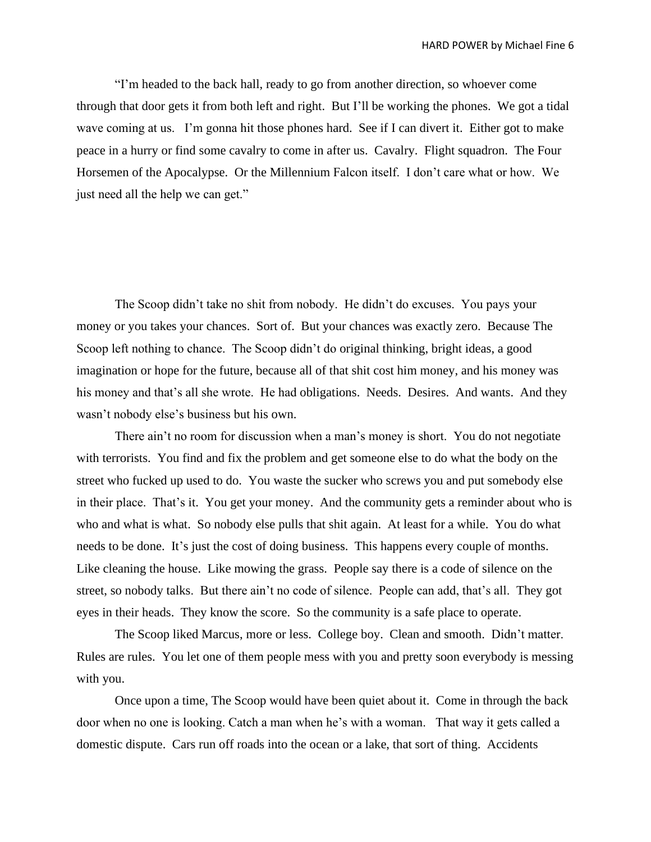"I'm headed to the back hall, ready to go from another direction, so whoever come through that door gets it from both left and right. But I'll be working the phones. We got a tidal wave coming at us. I'm gonna hit those phones hard. See if I can divert it. Either got to make peace in a hurry or find some cavalry to come in after us. Cavalry. Flight squadron. The Four Horsemen of the Apocalypse. Or the Millennium Falcon itself. I don't care what or how. We just need all the help we can get."

The Scoop didn't take no shit from nobody. He didn't do excuses. You pays your money or you takes your chances. Sort of. But your chances was exactly zero. Because The Scoop left nothing to chance. The Scoop didn't do original thinking, bright ideas, a good imagination or hope for the future, because all of that shit cost him money, and his money was his money and that's all she wrote. He had obligations. Needs. Desires. And wants. And they wasn't nobody else's business but his own.

There ain't no room for discussion when a man's money is short. You do not negotiate with terrorists. You find and fix the problem and get someone else to do what the body on the street who fucked up used to do. You waste the sucker who screws you and put somebody else in their place. That's it. You get your money. And the community gets a reminder about who is who and what is what. So nobody else pulls that shit again. At least for a while. You do what needs to be done. It's just the cost of doing business. This happens every couple of months. Like cleaning the house. Like mowing the grass. People say there is a code of silence on the street, so nobody talks. But there ain't no code of silence. People can add, that's all. They got eyes in their heads. They know the score. So the community is a safe place to operate.

The Scoop liked Marcus, more or less. College boy. Clean and smooth. Didn't matter. Rules are rules. You let one of them people mess with you and pretty soon everybody is messing with you.

Once upon a time, The Scoop would have been quiet about it. Come in through the back door when no one is looking. Catch a man when he's with a woman. That way it gets called a domestic dispute. Cars run off roads into the ocean or a lake, that sort of thing. Accidents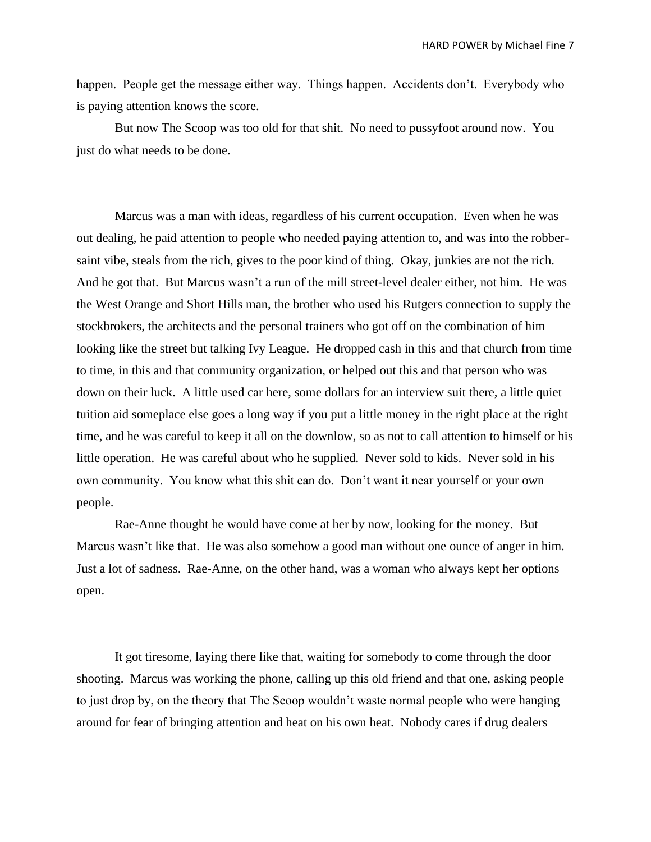happen. People get the message either way. Things happen. Accidents don't. Everybody who is paying attention knows the score.

But now The Scoop was too old for that shit. No need to pussyfoot around now. You just do what needs to be done.

Marcus was a man with ideas, regardless of his current occupation. Even when he was out dealing, he paid attention to people who needed paying attention to, and was into the robbersaint vibe, steals from the rich, gives to the poor kind of thing. Okay, junkies are not the rich. And he got that. But Marcus wasn't a run of the mill street-level dealer either, not him. He was the West Orange and Short Hills man, the brother who used his Rutgers connection to supply the stockbrokers, the architects and the personal trainers who got off on the combination of him looking like the street but talking Ivy League. He dropped cash in this and that church from time to time, in this and that community organization, or helped out this and that person who was down on their luck. A little used car here, some dollars for an interview suit there, a little quiet tuition aid someplace else goes a long way if you put a little money in the right place at the right time, and he was careful to keep it all on the downlow, so as not to call attention to himself or his little operation. He was careful about who he supplied. Never sold to kids. Never sold in his own community. You know what this shit can do. Don't want it near yourself or your own people.

Rae-Anne thought he would have come at her by now, looking for the money. But Marcus wasn't like that. He was also somehow a good man without one ounce of anger in him. Just a lot of sadness. Rae-Anne, on the other hand, was a woman who always kept her options open.

It got tiresome, laying there like that, waiting for somebody to come through the door shooting. Marcus was working the phone, calling up this old friend and that one, asking people to just drop by, on the theory that The Scoop wouldn't waste normal people who were hanging around for fear of bringing attention and heat on his own heat. Nobody cares if drug dealers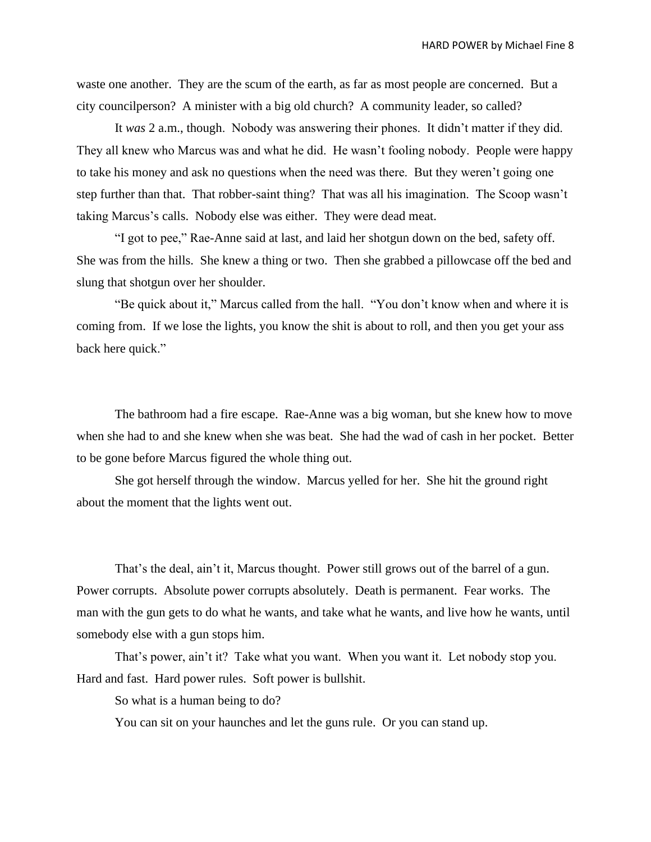waste one another. They are the scum of the earth, as far as most people are concerned. But a city councilperson? A minister with a big old church? A community leader, so called?

It *was* 2 a.m., though. Nobody was answering their phones. It didn't matter if they did. They all knew who Marcus was and what he did. He wasn't fooling nobody. People were happy to take his money and ask no questions when the need was there. But they weren't going one step further than that. That robber-saint thing? That was all his imagination. The Scoop wasn't taking Marcus's calls. Nobody else was either. They were dead meat.

"I got to pee," Rae-Anne said at last, and laid her shotgun down on the bed, safety off. She was from the hills. She knew a thing or two. Then she grabbed a pillowcase off the bed and slung that shotgun over her shoulder.

"Be quick about it," Marcus called from the hall. "You don't know when and where it is coming from. If we lose the lights, you know the shit is about to roll, and then you get your ass back here quick."

The bathroom had a fire escape. Rae-Anne was a big woman, but she knew how to move when she had to and she knew when she was beat. She had the wad of cash in her pocket. Better to be gone before Marcus figured the whole thing out.

She got herself through the window. Marcus yelled for her. She hit the ground right about the moment that the lights went out.

That's the deal, ain't it, Marcus thought. Power still grows out of the barrel of a gun. Power corrupts. Absolute power corrupts absolutely. Death is permanent. Fear works. The man with the gun gets to do what he wants, and take what he wants, and live how he wants, until somebody else with a gun stops him.

That's power, ain't it? Take what you want. When you want it. Let nobody stop you. Hard and fast. Hard power rules. Soft power is bullshit.

So what is a human being to do?

You can sit on your haunches and let the guns rule. Or you can stand up.